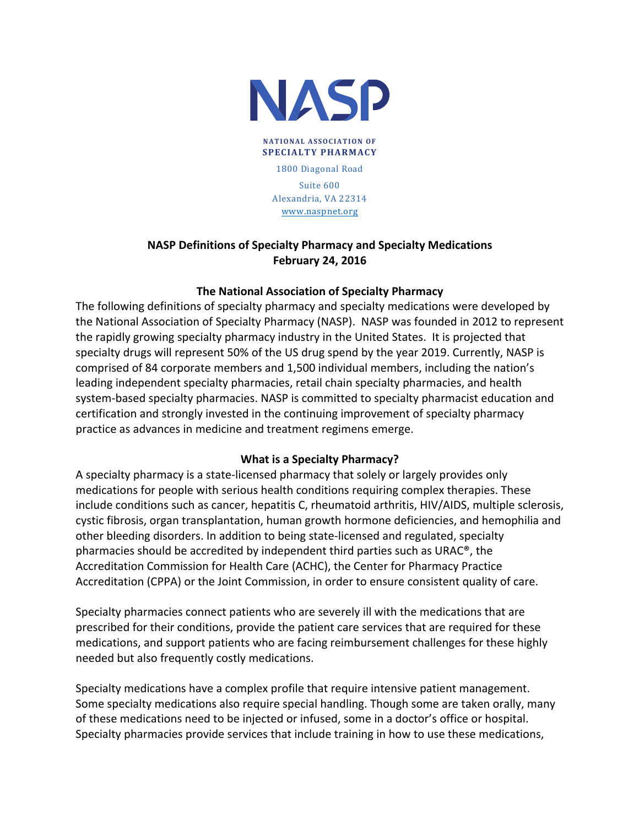

**NATIONAL ASSOCIATION OF SPECIALTY PHARMACY** 1800 Diagonal Road Suite 600 Alexandria, VA 22314 www.naspnet.org

## **NASP Definitions of Specialty Pharmacy and Specialty Medications February 24, 2016**

## **The National Association of Specialty Pharmacy**

The following definitions of specialty pharmacy and specialty medications were developed by the National Association of Specialty Pharmacy (NASP). NASP was founded in 2012 to represent the rapidly growing specialty pharmacy industry in the United States. It is projected that specialty drugs will represent 50% of the US drug spend by the year 2019. Currently, NASP is comprised of 84 corporate members and 1,500 individual members, including the nation's leading independent specialty pharmacies, retail chain specialty pharmacies, and health system-based specialty pharmacies. NASP is committed to specialty pharmacist education and certification and strongly invested in the continuing improvement of specialty pharmacy practice as advances in medicine and treatment regimens emerge.

## **What is a Specialty Pharmacy?**

A specialty pharmacy is a state-licensed pharmacy that solely or largely provides only medications for people with serious health conditions requiring complex therapies. These include conditions such as cancer, hepatitis C, rheumatoid arthritis, HIV/AIDS, multiple sclerosis, cystic fibrosis, organ transplantation, human growth hormone deficiencies, and hemophilia and other bleeding disorders. In addition to being state-licensed and regulated, specialty pharmacies should be accredited by independent third parties such as URAC<sup>®</sup>, the Accreditation Commission for Health Care (ACHC), the Center for Pharmacy Practice Accreditation (CPPA) or the Joint Commission, in order to ensure consistent quality of care.

Specialty pharmacies connect patients who are severely ill with the medications that are prescribed for their conditions, provide the patient care services that are required for these medications, and support patients who are facing reimbursement challenges for these highly needed but also frequently costly medications.

Specialty medications have a complex profile that require intensive patient management. Some specialty medications also require special handling. Though some are taken orally, many of these medications need to be injected or infused, some in a doctor's office or hospital. Specialty pharmacies provide services that include training in how to use these medications,